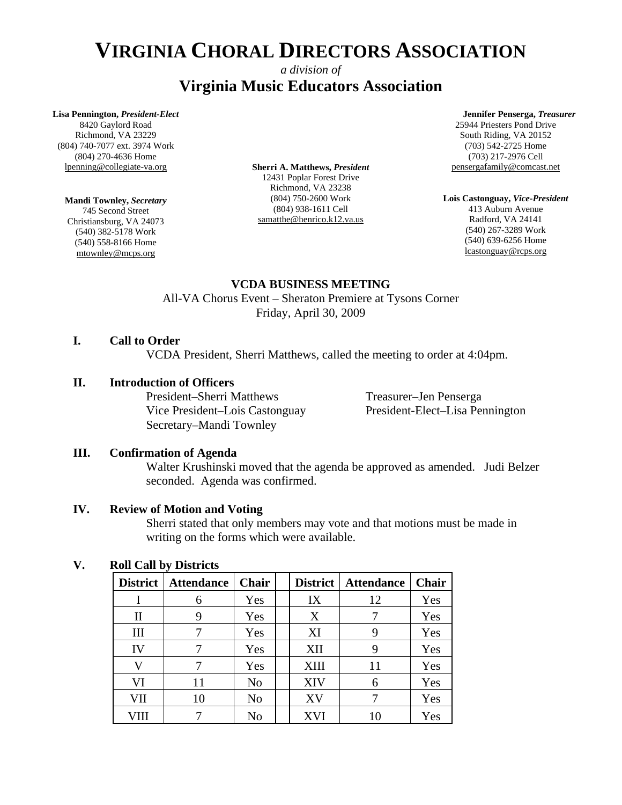# *a division of*  **Virginia Music Educators Association**

#### **Lisa Pennington,** *President-Elect*

8420 Gaylord Road Richmond, VA 23229 (804) 740-7077 ext. 3974 Work (804) 270-4636 Home lpenning@collegiate-va.org

# **Mandi Townley,** *Secretary*

745 Second Street Christiansburg, VA 24073 (540) 382-5178 Work (540) 558-8166 Home mtownley@mcps.org

**Sherri A. Matthews,** *President*  12431 Poplar Forest Drive Richmond, VA 23238 (804) 750-2600 Work (804) 938-1611 Cell samatthe@henrico.k12.va.us

#### **Jennifer Penserga,** *Treasurer*

25944 Priesters Pond Drive South Riding, VA 20152 (703) 542-2725 Home (703) 217-2976 Cell pensergafamily@comcast.net

**Lois Castonguay,** *Vice-President*  413 Auburn Avenue Radford, VA 24141 (540) 267-3289 Work (540) 639-6256 Home lcastonguay@rcps.org

# **VCDA BUSINESS MEETING**

All-VA Chorus Event – Sheraton Premiere at Tysons Corner Friday, April 30, 2009

# **I. Call to Order**

VCDA President, Sherri Matthews, called the meeting to order at 4:04pm.

# **II. Introduction of Officers**

President–Sherri Matthews Treasurer–Jen Penserga Secretary–Mandi Townley

Vice President–Lois Castonguay President-Elect–Lisa Pennington

# **III. Confirmation of Agenda**

Walter Krushinski moved that the agenda be approved as amended. Judi Belzer seconded. Agenda was confirmed.

# **IV. Review of Motion and Voting**

Sherri stated that only members may vote and that motions must be made in writing on the forms which were available.

# **V. Roll Call by Districts**

| <b>District</b>                 | <b>Attendance</b> | Chair | <b>District</b> | <b>Attendance</b> | Chair |
|---------------------------------|-------------------|-------|-----------------|-------------------|-------|
|                                 | 6                 | Yes   | IX              | 12                | Yes   |
| $\mathop{\mathrm{II}}\nolimits$ | 9                 | Yes   | X               |                   | Yes   |
| Ш                               |                   | Yes   | XI              | 9                 | Yes   |
| IV                              |                   | Yes   | XII             | 9                 | Yes   |
| V                               |                   | Yes   | <b>XIII</b>     | 11                | Yes   |
| VI                              | 11                | No    | <b>XIV</b>      | 6                 | Yes   |
| VII                             | 10                | No    | XV              |                   | Yes   |
| VШ                              |                   | No    | XVI             | 10                | Yes   |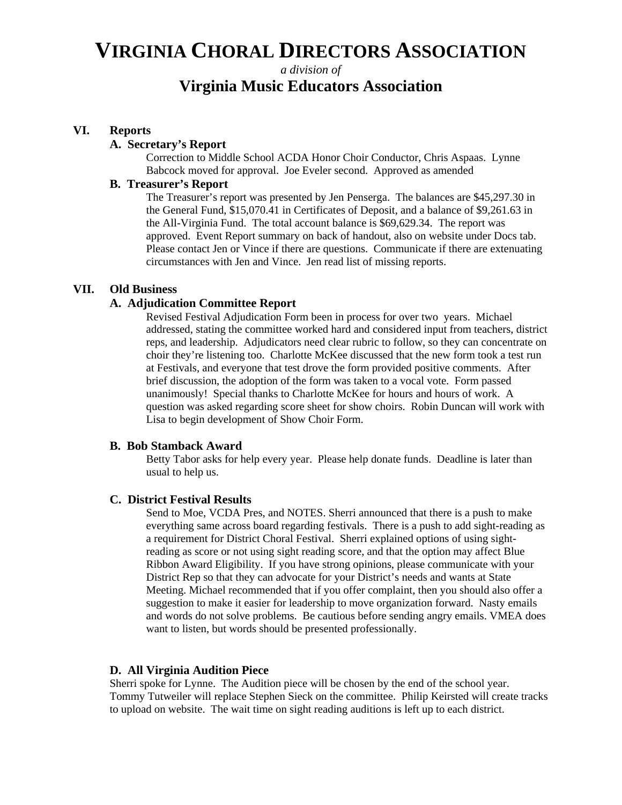# *a division of*  **Virginia Music Educators Association**

### **VI. Reports**

#### **A. Secretary's Report**

Correction to Middle School ACDA Honor Choir Conductor, Chris Aspaas. Lynne Babcock moved for approval. Joe Eveler second. Approved as amended

# **B. Treasurer's Report**

The Treasurer's report was presented by Jen Penserga. The balances are \$45,297.30 in the General Fund, \$15,070.41 in Certificates of Deposit, and a balance of \$9,261.63 in the All-Virginia Fund. The total account balance is \$69,629.34. The report was approved. Event Report summary on back of handout, also on website under Docs tab. Please contact Jen or Vince if there are questions. Communicate if there are extenuating circumstances with Jen and Vince. Jen read list of missing reports.

### **VII. Old Business**

#### **A. Adjudication Committee Report**

Revised Festival Adjudication Form been in process for over two years. Michael addressed, stating the committee worked hard and considered input from teachers, district reps, and leadership. Adjudicators need clear rubric to follow, so they can concentrate on choir they're listening too. Charlotte McKee discussed that the new form took a test run at Festivals, and everyone that test drove the form provided positive comments. After brief discussion, the adoption of the form was taken to a vocal vote. Form passed unanimously! Special thanks to Charlotte McKee for hours and hours of work. A question was asked regarding score sheet for show choirs. Robin Duncan will work with Lisa to begin development of Show Choir Form.

#### **B. Bob Stamback Award**

Betty Tabor asks for help every year. Please help donate funds. Deadline is later than usual to help us.

#### **C. District Festival Results**

Send to Moe, VCDA Pres, and NOTES. Sherri announced that there is a push to make everything same across board regarding festivals. There is a push to add sight-reading as a requirement for District Choral Festival. Sherri explained options of using sightreading as score or not using sight reading score, and that the option may affect Blue Ribbon Award Eligibility. If you have strong opinions, please communicate with your District Rep so that they can advocate for your District's needs and wants at State Meeting. Michael recommended that if you offer complaint, then you should also offer a suggestion to make it easier for leadership to move organization forward. Nasty emails and words do not solve problems. Be cautious before sending angry emails. VMEA does want to listen, but words should be presented professionally.

#### **D. All Virginia Audition Piece**

Sherri spoke for Lynne. The Audition piece will be chosen by the end of the school year. Tommy Tutweiler will replace Stephen Sieck on the committee. Philip Keirsted will create tracks to upload on website. The wait time on sight reading auditions is left up to each district.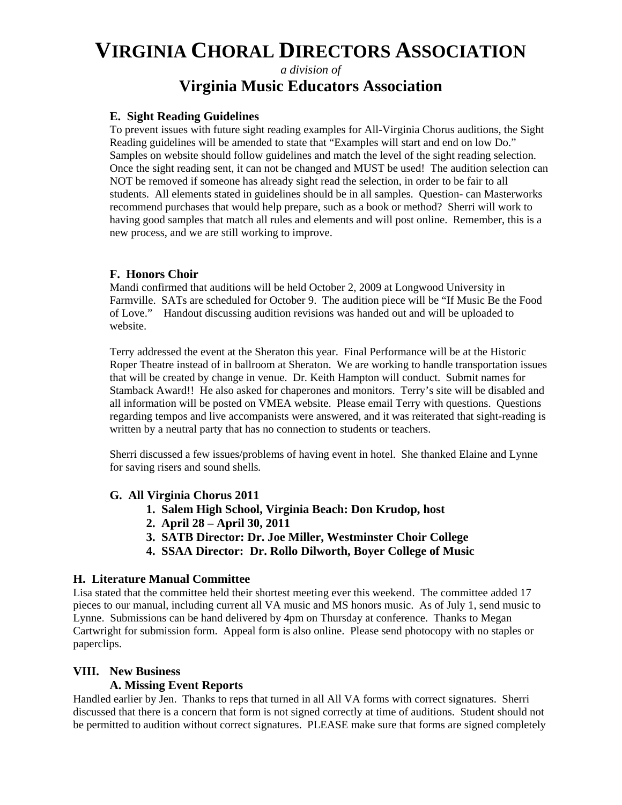# *a division of*  **Virginia Music Educators Association**

### **E. Sight Reading Guidelines**

To prevent issues with future sight reading examples for All-Virginia Chorus auditions, the Sight Reading guidelines will be amended to state that "Examples will start and end on low Do." Samples on website should follow guidelines and match the level of the sight reading selection. Once the sight reading sent, it can not be changed and MUST be used! The audition selection can NOT be removed if someone has already sight read the selection, in order to be fair to all students. All elements stated in guidelines should be in all samples. Question- can Masterworks recommend purchases that would help prepare, such as a book or method? Sherri will work to having good samples that match all rules and elements and will post online. Remember, this is a new process, and we are still working to improve.

# **F. Honors Choir**

Mandi confirmed that auditions will be held October 2, 2009 at Longwood University in Farmville. SATs are scheduled for October 9. The audition piece will be "If Music Be the Food of Love." Handout discussing audition revisions was handed out and will be uploaded to website.

Terry addressed the event at the Sheraton this year. Final Performance will be at the Historic Roper Theatre instead of in ballroom at Sheraton. We are working to handle transportation issues that will be created by change in venue. Dr. Keith Hampton will conduct. Submit names for Stamback Award!! He also asked for chaperones and monitors. Terry's site will be disabled and all information will be posted on VMEA website. Please email Terry with questions. Questions regarding tempos and live accompanists were answered, and it was reiterated that sight-reading is written by a neutral party that has no connection to students or teachers.

Sherri discussed a few issues/problems of having event in hotel. She thanked Elaine and Lynne for saving risers and sound shells*.* 

# **G. All Virginia Chorus 2011**

- **1. Salem High School, Virginia Beach: Don Krudop, host**
- **2. April 28 April 30, 2011**
- **3. SATB Director: Dr. Joe Miller, Westminster Choir College**
- **4. SSAA Director: Dr. Rollo Dilworth, Boyer College of Music**

# **H. Literature Manual Committee**

Lisa stated that the committee held their shortest meeting ever this weekend. The committee added 17 pieces to our manual, including current all VA music and MS honors music. As of July 1, send music to Lynne. Submissions can be hand delivered by 4pm on Thursday at conference. Thanks to Megan Cartwright for submission form. Appeal form is also online. Please send photocopy with no staples or paperclips.

# **VIII. New Business**

# **A. Missing Event Reports**

Handled earlier by Jen. Thanks to reps that turned in all All VA forms with correct signatures. Sherri discussed that there is a concern that form is not signed correctly at time of auditions. Student should not be permitted to audition without correct signatures. PLEASE make sure that forms are signed completely